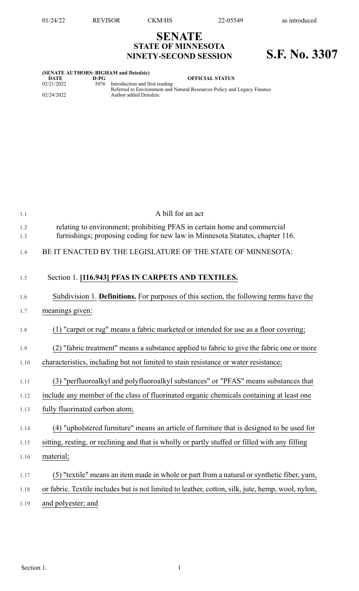## **SENATE STATE OF MINNESOTA NINETY-SECOND SESSION S.F. No. 3307**

| (SENATE AUTHORS: BIGHAM and Dziedzic) |      |                                                                         |  |  |  |
|---------------------------------------|------|-------------------------------------------------------------------------|--|--|--|
| DATE                                  | D-PG | <b>OFFICIAL STATUS</b>                                                  |  |  |  |
| 02/21/2022                            | 5076 | Introduction and first reading                                          |  |  |  |
|                                       |      | Referred to Environment and Natural Resources Policy and Legacy Finance |  |  |  |
| 02/24/2022                            |      | Author added Dziedzic                                                   |  |  |  |
|                                       |      |                                                                         |  |  |  |

| 1.1        | A bill for an act                                                                                                                                         |
|------------|-----------------------------------------------------------------------------------------------------------------------------------------------------------|
| 1.2<br>1.3 | relating to environment; prohibiting PFAS in certain home and commercial<br>furnishings; proposing coding for new law in Minnesota Statutes, chapter 116. |
| 1.4        | BE IT ENACTED BY THE LEGISLATURE OF THE STATE OF MINNESOTA:                                                                                               |
| 1.5        | Section 1. [116.943] PFAS IN CARPETS AND TEXTILES.                                                                                                        |
| 1.6        | Subdivision 1. Definitions. For purposes of this section, the following terms have the                                                                    |
| 1.7        | meanings given:                                                                                                                                           |
| 1.8        | (1) "carpet or rug" means a fabric marketed or intended for use as a floor covering;                                                                      |
| 1.9        | (2) "fabric treatment" means a substance applied to fabric to give the fabric one or more                                                                 |
| 1.10       | characteristics, including but not limited to stain resistance or water resistance;                                                                       |
| 1.11       | (3) "perfluoroalkyl and polyfluoroalkyl substances" or "PFAS" means substances that                                                                       |
| 1.12       | include any member of the class of fluorinated organic chemicals containing at least one                                                                  |
| 1.13       | fully fluorinated carbon atom;                                                                                                                            |
| 1.14       | (4) "upholstered furniture" means an article of furniture that is designed to be used for                                                                 |
| 1.15       | sitting, resting, or reclining and that is wholly or partly stuffed or filled with any filling                                                            |
| 1.16       | material;                                                                                                                                                 |
| 1.17       | (5) "textile" means an item made in whole or part from a natural or synthetic fiber, yarn,                                                                |
| 1.18       | or fabric. Textile includes but is not limited to leather, cotton, silk, jute, hemp, wool, nylon,                                                         |
| 1.19       | and polyester; and                                                                                                                                        |